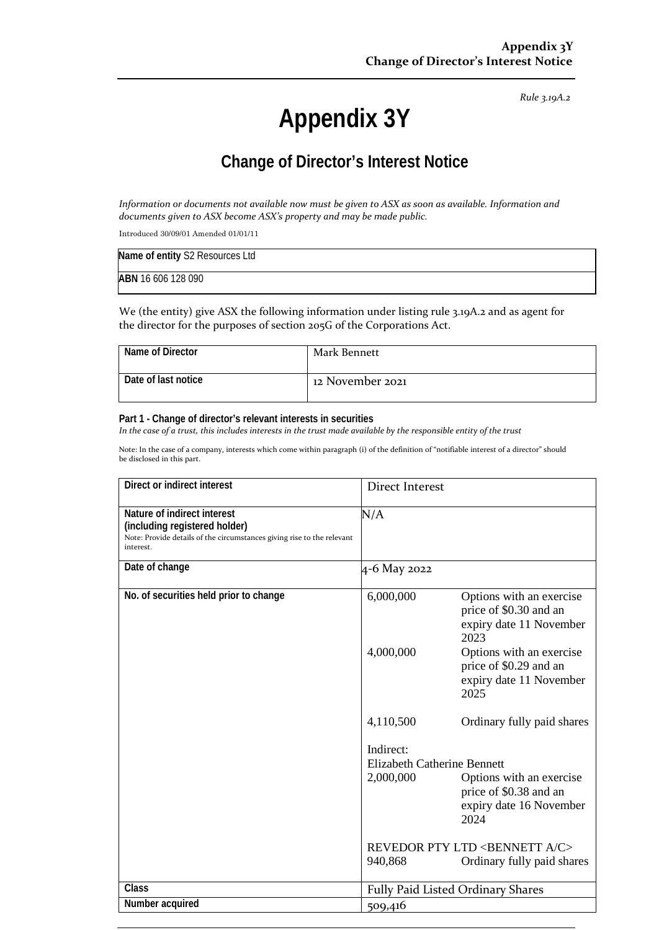#### *Rule 3.19A.2*

# **Appendix 3Y**

## **Change of Director's Interest Notice**

*Information or documents not available now must be given to ASX as soon as available. Information and documents given to ASX become ASX's property and may be made public.*

Introduced 30/09/01 Amended 01/01/11

| Name of entity S2 Resources Ltd |  |
|---------------------------------|--|
| ABN 16 606 128 090              |  |

We (the entity) give ASX the following information under listing rule 3.19A.2 and as agent for the director for the purposes of section 205G of the Corporations Act.

| Name of Director      | Mark Bennett     |
|-----------------------|------------------|
| l Date of last notice | 12 November 2021 |

#### **Part 1 - Change of director's relevant interests in securities**

*In the case of a trust, this includes interests in the trust made available by the responsible entity of the trust*

Note: In the case of a company, interests which come within paragraph (i) of the definition of "notifiable interest of a director" should be disclosed in this part.

| Direct or indirect interest                                                                                                                         | <b>Direct Interest</b>             |                                                                                       |
|-----------------------------------------------------------------------------------------------------------------------------------------------------|------------------------------------|---------------------------------------------------------------------------------------|
| Nature of indirect interest<br>(including registered holder)<br>Note: Provide details of the circumstances giving rise to the relevant<br>interest. | N/A                                |                                                                                       |
| Date of change                                                                                                                                      | 4-6 May 2022                       |                                                                                       |
| No. of securities held prior to change                                                                                                              | 6,000,000                          | Options with an exercise<br>price of \$0.30 and an<br>expiry date 11 November<br>2023 |
|                                                                                                                                                     | 4,000,000                          | Options with an exercise<br>price of \$0.29 and an<br>expiry date 11 November<br>2025 |
|                                                                                                                                                     | 4,110,500                          | Ordinary fully paid shares                                                            |
|                                                                                                                                                     | Indirect:                          |                                                                                       |
|                                                                                                                                                     | <b>Elizabeth Catherine Bennett</b> |                                                                                       |
|                                                                                                                                                     | 2,000,000                          | Options with an exercise<br>price of \$0.38 and an<br>expiry date 16 November<br>2024 |
|                                                                                                                                                     |                                    | REVEDOR PTY LTD <bennett a="" c=""></bennett>                                         |
|                                                                                                                                                     | 940,868                            | Ordinary fully paid shares                                                            |
| <b>Class</b>                                                                                                                                        | Fully Paid Listed Ordinary Shares  |                                                                                       |
| Number acquired                                                                                                                                     | 509,416                            |                                                                                       |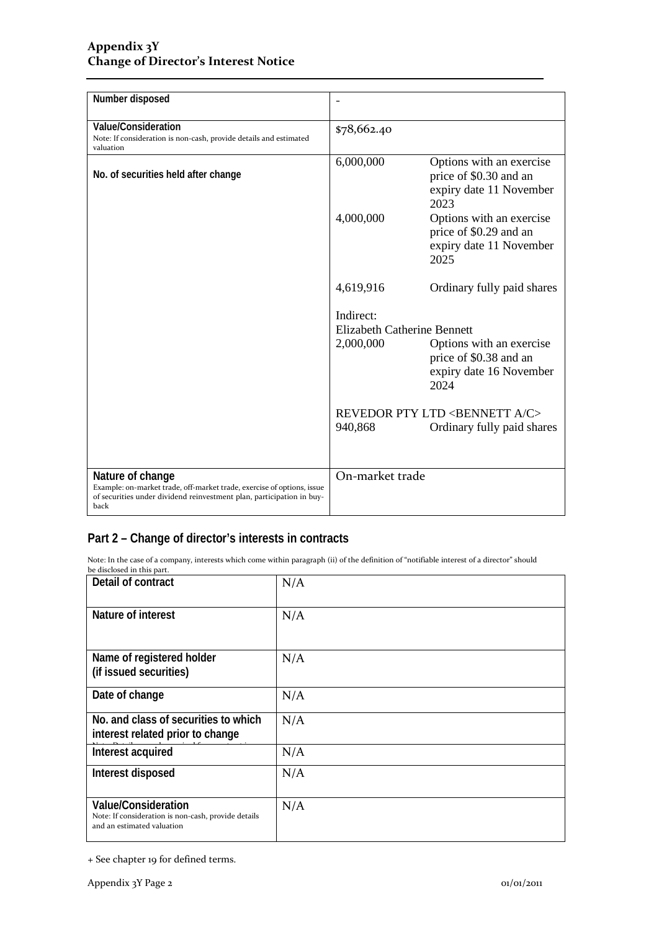| Number disposed                                                                                                                                                             |                                                              |                                                                                       |
|-----------------------------------------------------------------------------------------------------------------------------------------------------------------------------|--------------------------------------------------------------|---------------------------------------------------------------------------------------|
| Value/Consideration<br>Note: If consideration is non-cash, provide details and estimated<br>valuation                                                                       | \$78,662.40                                                  |                                                                                       |
| No. of securities held after change                                                                                                                                         | 6,000,000                                                    | Options with an exercise<br>price of \$0.30 and an<br>expiry date 11 November<br>2023 |
|                                                                                                                                                                             | 4,000,000                                                    | Options with an exercise<br>price of \$0.29 and an<br>expiry date 11 November<br>2025 |
|                                                                                                                                                                             | 4,619,916                                                    | Ordinary fully paid shares                                                            |
|                                                                                                                                                                             | Indirect:<br><b>Elizabeth Catherine Bennett</b><br>2,000,000 | Options with an exercise<br>price of \$0.38 and an<br>expiry date 16 November<br>2024 |
|                                                                                                                                                                             | 940,868                                                      | <b>REVEDOR PTY LTD <bennett a="" c=""></bennett></b><br>Ordinary fully paid shares    |
| Nature of change<br>Example: on-market trade, off-market trade, exercise of options, issue<br>of securities under dividend reinvestment plan, participation in buy-<br>back | On-market trade                                              |                                                                                       |

### **Part 2 – Change of director's interests in contracts**

Note: In the case of a company, interests which come within paragraph (ii) of the definition of "notifiable interest of a director" should be disclosed in this part.

| Detail of contract                                                                                              | N/A |
|-----------------------------------------------------------------------------------------------------------------|-----|
| Nature of interest                                                                                              | N/A |
| Name of registered holder<br>(if issued securities)                                                             | N/A |
| Date of change                                                                                                  | N/A |
| No. and class of securities to which<br>interest related prior to change                                        | N/A |
| Interest acquired                                                                                               | N/A |
| Interest disposed                                                                                               | N/A |
| <b>Value/Consideration</b><br>Note: If consideration is non-cash, provide details<br>and an estimated valuation | N/A |

<sup>+</sup> See chapter 19 for defined terms.